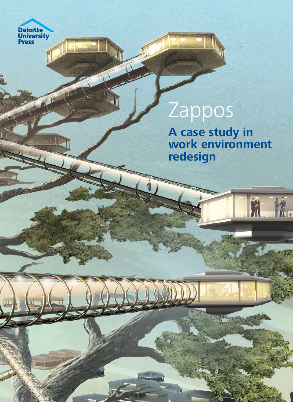

**Art** 

N.

KURK

# Zappos

**A case study in work environment redesign**

航流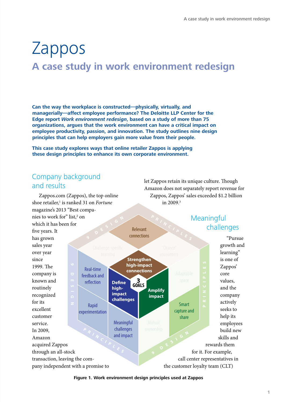let Zappos retain its unique culture. Though

## Zappos **A case study in work environment redesign**

**Can the way the workplace is constructed—physically, virtually, and managerially—affect employee performance? The Deloitte LLP Center for the Edge report** *Work environment redesign***, based on a study of more than 75 organizations, argues that the work environment can have a critical impact on employee productivity, passion, and innovation. The study outlines nine design principles that can help employers gain more value from their people.**

**This case study explores ways that online retailer Zappos is applying these design principles to enhance its own corporate environment.**

## Company background and results

Zappos.com (Zappos), the top online shoe retailer,<sup>1</sup> is ranked 31 on *Fortune* magazine's 2013 "Best companies to work for" list,<sup>2</sup> on which it has been for five years. It has grown sales year over year since 1999. The company is known and routinely recognized for its excellent customer service. In 2009, Amazon acquired Zappos through an all-stock transaction, leaving the company independent with a promise to Amazon does not separately report revenue for Zappos, Zappos' sales exceeded \$1.2 billion in 2009.3 Meaningful challenges "Pursue growth and learning" is one of Zappos' core values, and the company actively seeks to help its employees build new skills and rewards them for it. For example, call center representatives in the customer loyalty team (CLT) **P R I N C I P L E S P R I N C I P L E S 9 D E S I G <sup>N</sup> 9 D E S I G <sup>N</sup>** Smart capture and share **Meaningful** challenges and impact Real-time feedback and reflection Rapid experimentation Relevant connections **Define highimpact challenges Strengthen high-impact connections Amplify impact 3 GOALS**

**Figure 1. Work environment design principles used at Zappos**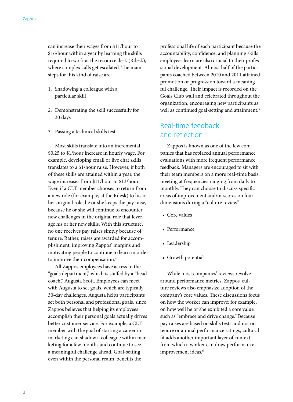can increase their wages from \$11/hour to \$16/hour within a year by learning the skills required to work at the resource desk (Rdesk), where complex calls get escalated. The main steps for this kind of raise are:

- 1. Shadowing a colleague with a particular skill
- 2. Demonstrating the skill successfully for 30 days
- 3. Passing a technical skills test

Most skills translate into an incremental \$0.25 to \$1/hour increase in hourly wage. For example, developing email or live chat skills translates to a \$1/hour raise. However, if both of these skills are attained within a year, the wage increases from \$11/hour to \$13/hour. Even if a CLT member chooses to return from a new role (for example, at the Rdesk) to his or her original role, he or she keeps the pay raise, because he or she will continue to encounter new challenges in the original role that leverage his or her new skills. With this structure, no one receives pay raises simply because of tenure. Rather, raises are awarded for accomplishment, improving Zappos' margins and motivating people to continue to learn in order to improve their compensation.<sup>4</sup>

All Zappos employees have access to the "goals department," which is staffed by a "head coach," Augusta Scott. Employees can meet with Augusta to set goals, which are typically 30-day challenges. Augusta helps participants set both personal and professional goals, since Zappos believes that helping its employees accomplish their personal goals actually drives better customer service. For example, a CLT member with the goal of starting a career in marketing can shadow a colleague within marketing for a few months and continue to see a meaningful challenge ahead. Goal-setting, even within the personal realm, benefits the

professional life of each participant because the accountability, confidence, and planning skills employees learn are also crucial to their professional development. Almost half of the participants coached between 2010 and 2011 attained promotion or progression toward a meaningful challenge. Their impact is recorded on the Goals Club wall and celebrated throughout the organization, encouraging new participants as well as continued goal-setting and attainment.<sup>5</sup>

## Real-time feedback and reflection

Zappos is known as one of the few companies that has replaced annual performance evaluations with more frequent performance feedback. Managers are encouraged to sit with their team members on a more real-time basis, meeting at frequencies ranging from daily to monthly. They can choose to discuss specific areas of improvement and/or scores on four dimensions during a "culture review":

- Core values
- Performance
- Leadership
- Growth potential

While most companies' reviews revolve around performance metrics, Zappos' culture reviews also emphasize adoption of the company's core values. These discussions focus on how the worker can improve: for example, on how well he or she exhibited a core value such as "embrace and drive change." Because pay raises are based on skills tests and not on tenure or annual performance ratings, cultural fit adds another important layer of context from which a worker can draw performance improvement ideas.<sup>6</sup>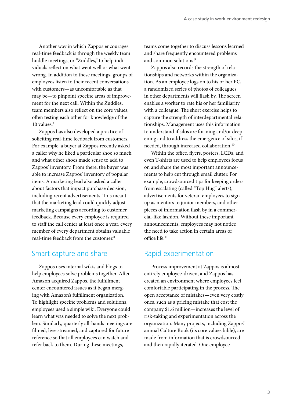Another way in which Zappos encourages real-time feedback is through the weekly team huddle meetings, or "Zuddles," to help individuals reflect on what went well or what went wrong. In addition to these meetings, groups of employees listen to their recent conversations with customers—as uncomfortable as that may be—to pinpoint specific areas of improvement for the next call. Within the Zuddles, team members also reflect on the core values, often testing each other for knowledge of the 10 values.7

Zappos has also developed a practice of soliciting real-time feedback from customers. For example, a buyer at Zappos recently asked a caller why he liked a particular shoe so much and what other shoes made sense to add to Zappos' inventory. From there, the buyer was able to increase Zappos' inventory of popular items. A marketing lead also asked a caller about factors that impact purchase decision, including recent advertisements. This meant that the marketing lead could quickly adjust marketing campaigns according to customer feedback. Because every employee is required to staff the call center at least once a year, every member of every department obtains valuable real-time feedback from the customer.8

### Smart capture and share

Zappos uses internal wikis and blogs to help employees solve problems together. After Amazon acquired Zappos, the fulfillment center encountered issues as it began merging with Amazon's fulfillment organization. To highlight specific problems and solutions, employees used a simple wiki. Everyone could learn what was needed to solve the next problem. Similarly, quarterly all-hands meetings are filmed, live-streamed, and captured for future reference so that all employees can watch and refer back to them. During these meetings,

teams come together to discuss lessons learned and share frequently encountered problems and common solutions.<sup>9</sup>

Zappos also records the strength of relationships and networks within the organization. As an employee logs on to his or her PC, a randomized series of photos of colleagues in other departments will flash by. The screen enables a worker to rate his or her familiarity with a colleague. The short exercise helps to capture the strength of interdepartmental relationships. Management uses this information to understand if silos are forming and/or deepening and to address the emergence of silos, if needed, through increased collaboration.<sup>10</sup>

Within the office, flyers, posters, LCDs, and even T-shirts are used to help employees focus on and share the most important announcements to help cut through email clutter. For example, crowdsourced tips for keeping orders from escalating (called "Top Hug" alerts), advertisements for veteran employees to sign up as mentors to junior members, and other pieces of information flash by in a commercial-like fashion. Without these important announcements, employees may not notice the need to take action in certain areas of office life.11

## Rapid experimentation

Process improvement at Zappos is almost entirely employee-driven, and Zappos has created an environment where employees feel comfortable participating in the process. The open acceptance of mistakes—even very costly ones, such as a pricing mistake that cost the company \$1.6 million—increases the level of risk-taking and experimentation across the organization. Many projects, including Zappos' annual Culture Book (its core values bible), are made from information that is crowdsourced and then rapidly iterated. One employee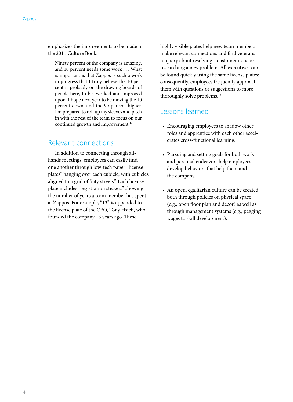emphasizes the improvements to be made in the 2011 Culture Book:

Ninety percent of the company is amazing, and 10 percent needs some work . . . What is important is that Zappos is such a work in progress that I truly believe the 10 percent is probably on the drawing boards of people here, to be tweaked and improved upon. I hope next year to be moving the 10 percent down, and the 90 percent higher. I'm prepared to roll up my sleeves and pitch in with the rest of the team to focus on our continued growth and improvement.<sup>12</sup>

### Relevant connections

In addition to connecting through allhands meetings, employees can easily find one another through low-tech paper "license plates" hanging over each cubicle, with cubicles aligned to a grid of "city streets." Each license plate includes "registration stickers" showing the number of years a team member has spent at Zappos. For example, "13" is appended to the license plate of the CEO, Tony Hsieh, who founded the company 13 years ago. These

highly visible plates help new team members make relevant connections and find veterans to query about resolving a customer issue or researching a new problem. All executives can be found quickly using the same license plates; consequently, employees frequently approach them with questions or suggestions to more thoroughly solve problems.<sup>13</sup>

### Lessons learned

- Encouraging employees to shadow other roles and apprentice with each other accelerates cross-functional learning.
- Pursuing and setting goals for both work and personal endeavors help employees develop behaviors that help them and the company.
- An open, egalitarian culture can be created both through policies on physical space (e.g., open floor plan and décor) as well as through management systems (e.g., pegging wages to skill development).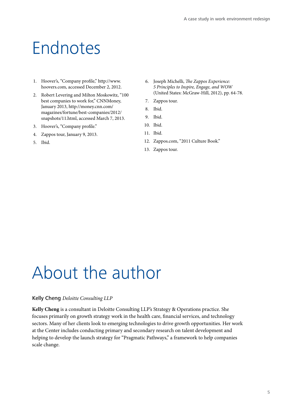## Endnotes

- 1. Hoover's, "Company profile," http://www. hoovers.com, accessed December 2, 2012.
- 2. Robert Levering and Milton Moskowitz, "100 best companies to work for," CNNMoney, January 2013, http://money.cnn.com/ magazines/fortune/best-companies/2012/ snapshots/11.html, accessed March 7, 2013.
- 3. Hoover's, "Company profile."
- 4. Zappos tour, January 9, 2013.
- 5. Ibid.
- 6. Joseph Michelli, *The Zappos Experience: 5 Principles to Inspire, Engage, and WOW* (United States: McGraw-Hill, 2012), pp. 64-78.
- 7. Zappos tour.
- 8. Ibid.
- 9. Ibid.
- 10. Ibid.
- 11. Ibid.
- 12. Zappos.com, "2011 Culture Book."
- 13. Zappos tour.

## About the author

#### Kelly Cheng *Deloitte Consulting LLP*

**Kelly Cheng** is a consultant in Deloitte Consulting LLP's Strategy & Operations practice. She focuses primarily on growth strategy work in the health care, financial services, and technology sectors. Many of her clients look to emerging technologies to drive growth opportunities. Her work at the Center includes conducting primary and secondary research on talent development and helping to develop the launch strategy for "Pragmatic Pathways," a framework to help companies scale change.